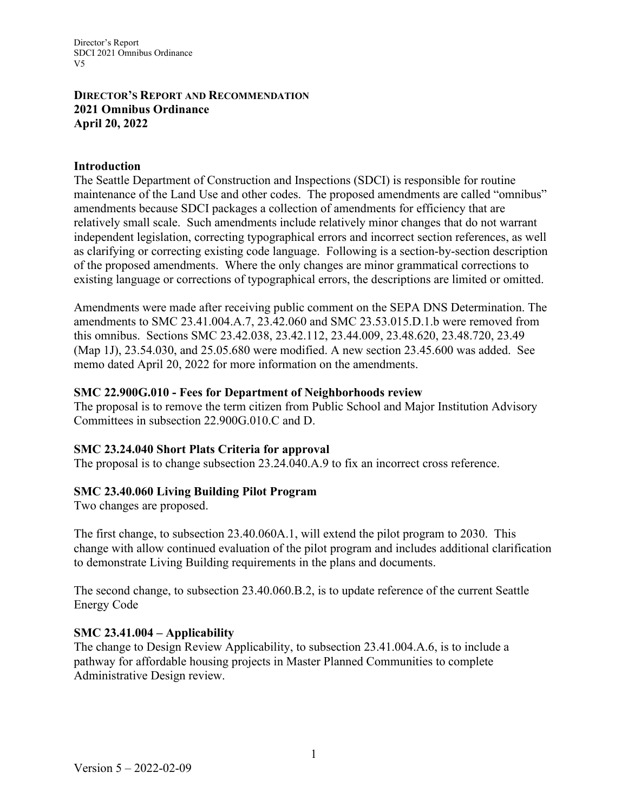Director's Report SDCI 2021 Omnibus Ordinance V5

## **DIRECTOR'S REPORT AND RECOMMENDATION 2021 Omnibus Ordinance April 20, 2022**

### **Introduction**

The Seattle Department of Construction and Inspections (SDCI) is responsible for routine maintenance of the Land Use and other codes. The proposed amendments are called "omnibus" amendments because SDCI packages a collection of amendments for efficiency that are relatively small scale. Such amendments include relatively minor changes that do not warrant independent legislation, correcting typographical errors and incorrect section references, as well as clarifying or correcting existing code language. Following is a section-by-section description of the proposed amendments. Where the only changes are minor grammatical corrections to existing language or corrections of typographical errors, the descriptions are limited or omitted.

Amendments were made after receiving public comment on the SEPA DNS Determination. The amendments to SMC 23.41.004.A.7, 23.42.060 and SMC 23.53.015.D.1.b were removed from this omnibus. Sections SMC 23.42.038, 23.42.112, 23.44.009, 23.48.620, 23.48.720, 23.49 (Map 1J), 23.54.030, and 25.05.680 were modified. A new section 23.45.600 was added. See memo dated April 20, 2022 for more information on the amendments.

### **SMC 22.900G.010 - Fees for Department of Neighborhoods review**

The proposal is to remove the term citizen from Public School and Major Institution Advisory Committees in subsection 22.900G.010.C and D.

# **SMC 23.24.040 Short Plats Criteria for approval**

The proposal is to change subsection 23.24.040.A.9 to fix an incorrect cross reference.

# **SMC 23.40.060 Living Building Pilot Program**

Two changes are proposed.

The first change, to subsection 23.40.060A.1, will extend the pilot program to 2030. This change with allow continued evaluation of the pilot program and includes additional clarification to demonstrate Living Building requirements in the plans and documents.

The second change, to subsection 23.40.060.B.2, is to update reference of the current Seattle Energy Code

# **SMC 23.41.004 – Applicability**

The change to Design Review Applicability, to subsection 23.41.004.A.6, is to include a pathway for affordable housing projects in Master Planned Communities to complete Administrative Design review.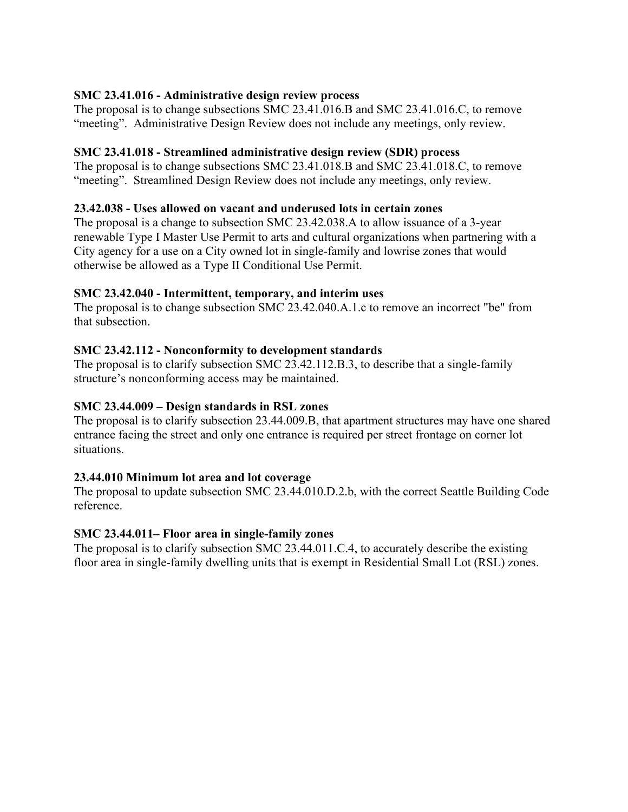# **SMC 23.41.016 - Administrative design review process**

The proposal is to change subsections SMC 23.41.016.B and SMC 23.41.016.C, to remove "meeting". Administrative Design Review does not include any meetings, only review.

# **SMC 23.41.018 - Streamlined administrative design review (SDR) process**

The proposal is to change subsections SMC 23.41.018.B and SMC 23.41.018.C, to remove "meeting". Streamlined Design Review does not include any meetings, only review.

# **23.42.038 - Uses allowed on vacant and underused lots in certain zones**

The proposal is a change to subsection SMC 23.42.038.A to allow issuance of a 3-year renewable Type I Master Use Permit to arts and cultural organizations when partnering with a City agency for a use on a City owned lot in single-family and lowrise zones that would otherwise be allowed as a Type II Conditional Use Permit.

## **SMC 23.42.040 - Intermittent, temporary, and interim uses**

The proposal is to change subsection SMC 23.42.040.A.1.c to remove an incorrect "be" from that subsection.

## **SMC 23.42.112 - Nonconformity to development standards**

The proposal is to clarify subsection SMC 23.42.112.B.3, to describe that a single-family structure's nonconforming access may be maintained.

### **SMC 23.44.009 – Design standards in RSL zones**

The proposal is to clarify subsection 23.44.009.B, that apartment structures may have one shared entrance facing the street and only one entrance is required per street frontage on corner lot situations.

### **23.44.010 Minimum lot area and lot coverage**

The proposal to update subsection SMC 23.44.010.D.2.b, with the correct Seattle Building Code reference.

### **SMC 23.44.011– Floor area in single-family zones**

The proposal is to clarify subsection SMC 23.44.011.C.4, to accurately describe the existing floor area in single-family dwelling units that is exempt in Residential Small Lot (RSL) zones.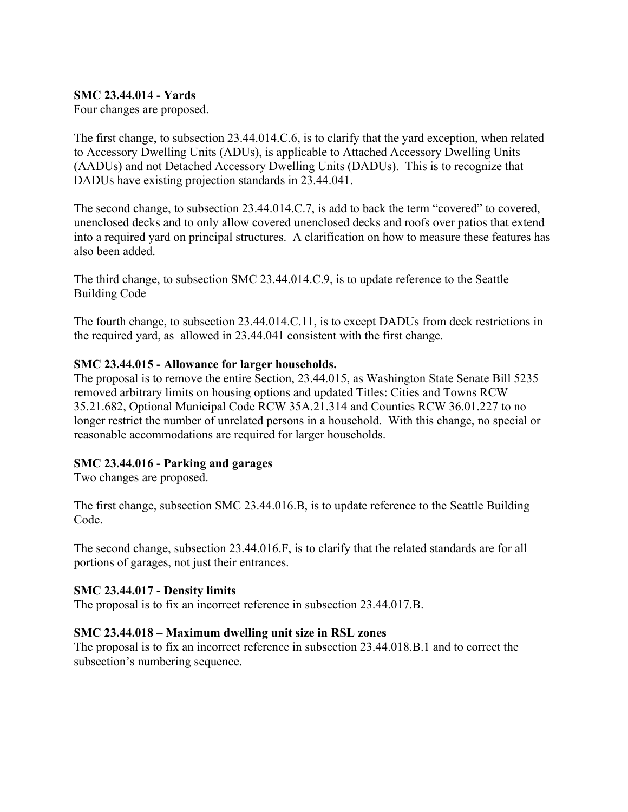## **SMC 23.44.014 - Yards**

Four changes are proposed.

The first change, to subsection 23.44.014.C.6, is to clarify that the yard exception, when related to Accessory Dwelling Units (ADUs), is applicable to Attached Accessory Dwelling Units (AADUs) and not Detached Accessory Dwelling Units (DADUs). This is to recognize that DADUs have existing projection standards in 23.44.041.

The second change, to subsection 23.44.014.C.7, is add to back the term "covered" to covered, unenclosed decks and to only allow covered unenclosed decks and roofs over patios that extend into a required yard on principal structures. A clarification on how to measure these features has also been added.

The third change, to subsection SMC 23.44.014.C.9, is to update reference to the Seattle Building Code

The fourth change, to subsection 23.44.014.C.11, is to except DADUs from deck restrictions in the required yard, as allowed in 23.44.041 consistent with the first change.

### **SMC 23.44.015 - Allowance for larger households.**

The proposal is to remove the entire Section, 23.44.015, as Washington State Senate Bill 5235 removed arbitrary limits on housing options and updated Titles: Cities and Towns [RCW](https://app.leg.wa.gov/RCW/default.aspx?cite=35.21.682)  [35.21.682,](https://app.leg.wa.gov/RCW/default.aspx?cite=35.21.682) Optional Municipal Code [RCW 35A.21.314](https://app.leg.wa.gov/RCW/default.aspx?cite=35A.21.314) and Counties [RCW 36.01.227](https://app.leg.wa.gov/RCW/default.aspx?cite=36.01.227) to no longer restrict the number of unrelated persons in a household. With this change, no special or reasonable accommodations are required for larger households.

### **SMC 23.44.016 - Parking and garages**

Two changes are proposed.

The first change, subsection SMC 23.44.016.B, is to update reference to the Seattle Building Code.

The second change, subsection 23.44.016.F, is to clarify that the related standards are for all portions of garages, not just their entrances.

### **SMC 23.44.017 - Density limits**

The proposal is to fix an incorrect reference in subsection 23.44.017.B.

### **SMC 23.44.018 – Maximum dwelling unit size in RSL zones**

The proposal is to fix an incorrect reference in subsection 23.44.018.B.1 and to correct the subsection's numbering sequence.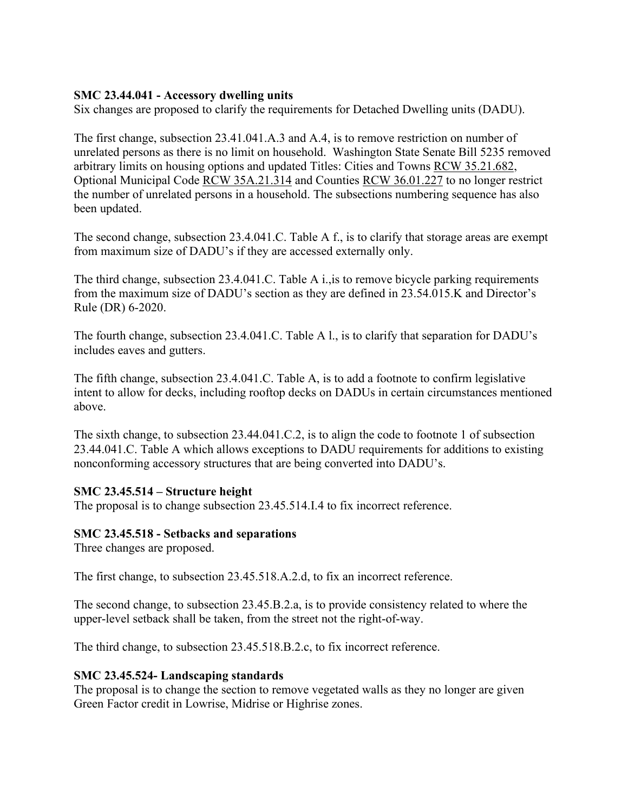## **SMC 23.44.041 - Accessory dwelling units**

Six changes are proposed to clarify the requirements for Detached Dwelling units (DADU).

The first change, subsection 23.41.041.A.3 and A.4, is to remove restriction on number of unrelated persons as there is no limit on household. Washington State Senate Bill 5235 removed arbitrary limits on housing options and updated Titles: Cities and Towns [RCW 35.21.682,](https://app.leg.wa.gov/RCW/default.aspx?cite=35.21.682) Optional Municipal Code [RCW 35A.21.314](https://app.leg.wa.gov/RCW/default.aspx?cite=35A.21.314) and Counties [RCW 36.01.227](https://app.leg.wa.gov/RCW/default.aspx?cite=36.01.227) to no longer restrict the number of unrelated persons in a household. The subsections numbering sequence has also been updated.

The second change, subsection 23.4.041.C. Table A f., is to clarify that storage areas are exempt from maximum size of DADU's if they are accessed externally only.

The third change, subsection 23.4.041.C. Table A i.,is to remove bicycle parking requirements from the maximum size of DADU's section as they are defined in 23.54.015.K and Director's Rule (DR) 6-2020.

The fourth change, subsection 23.4.041.C. Table A l., is to clarify that separation for DADU's includes eaves and gutters.

The fifth change, subsection 23.4.041.C. Table A, is to add a footnote to confirm legislative intent to allow for decks, including rooftop decks on DADUs in certain circumstances mentioned above.

The sixth change, to subsection 23.44.041.C.2, is to align the code to footnote 1 of subsection 23.44.041.C. Table A which allows exceptions to DADU requirements for additions to existing nonconforming accessory structures that are being converted into DADU's.

### **SMC 23.45.514 – Structure height**

The proposal is to change subsection 23.45.514.I.4 to fix incorrect reference.

### **SMC 23.45.518 - Setbacks and separations**

Three changes are proposed.

The first change, to subsection 23.45.518.A.2.d, to fix an incorrect reference.

The second change, to subsection 23.45.B.2.a, is to provide consistency related to where the upper-level setback shall be taken, from the street not the right-of-way.

The third change, to subsection 23.45.518.B.2.c, to fix incorrect reference.

### **SMC 23.45.524- Landscaping standards**

The proposal is to change the section to remove vegetated walls as they no longer are given Green Factor credit in Lowrise, Midrise or Highrise zones.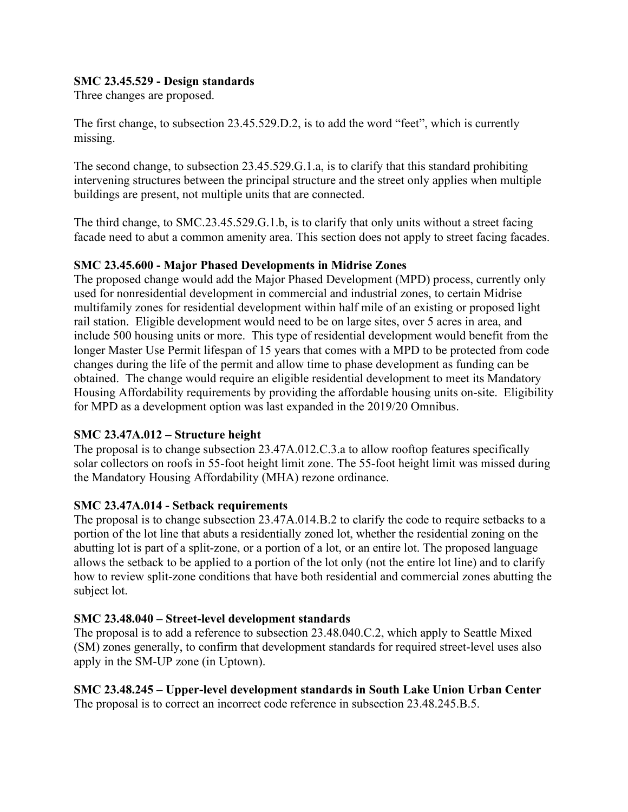## **SMC 23.45.529 - Design standards**

Three changes are proposed.

The first change, to subsection 23.45.529.D.2, is to add the word "feet", which is currently missing.

The second change, to subsection 23.45.529.G.1.a, is to clarify that this standard prohibiting intervening structures between the principal structure and the street only applies when multiple buildings are present, not multiple units that are connected.

The third change, to SMC.23.45.529.G.1.b, is to clarify that only units without a street facing facade need to abut a common amenity area. This section does not apply to street facing facades.

## **SMC 23.45.600 - Major Phased Developments in Midrise Zones**

The proposed change would add the Major Phased Development (MPD) process, currently only used for nonresidential development in commercial and industrial zones, to certain Midrise multifamily zones for residential development within half mile of an existing or proposed light rail station. Eligible development would need to be on large sites, over 5 acres in area, and include 500 housing units or more. This type of residential development would benefit from the longer Master Use Permit lifespan of 15 years that comes with a MPD to be protected from code changes during the life of the permit and allow time to phase development as funding can be obtained. The change would require an eligible residential development to meet its Mandatory Housing Affordability requirements by providing the affordable housing units on-site. Eligibility for MPD as a development option was last expanded in the 2019/20 Omnibus.

### **SMC 23.47A.012 – Structure height**

The proposal is to change subsection 23.47A.012.C.3.a to allow rooftop features specifically solar collectors on roofs in 55-foot height limit zone. The 55-foot height limit was missed during the Mandatory Housing Affordability (MHA) rezone ordinance.

### **SMC 23.47A.014 - Setback requirements**

The proposal is to change subsection 23.47A.014.B.2 to clarify the code to require setbacks to a portion of the lot line that abuts a residentially zoned lot, whether the residential zoning on the abutting lot is part of a split-zone, or a portion of a lot, or an entire lot. The proposed language allows the setback to be applied to a portion of the lot only (not the entire lot line) and to clarify how to review split-zone conditions that have both residential and commercial zones abutting the subject lot.

# **SMC 23.48.040 – Street-level development standards**

The proposal is to add a reference to subsection 23.48.040.C.2, which apply to Seattle Mixed (SM) zones generally, to confirm that development standards for required street-level uses also apply in the SM-UP zone (in Uptown).

**SMC 23.48.245 – Upper-level development standards in South Lake Union Urban Center** The proposal is to correct an incorrect code reference in subsection 23.48.245.B.5.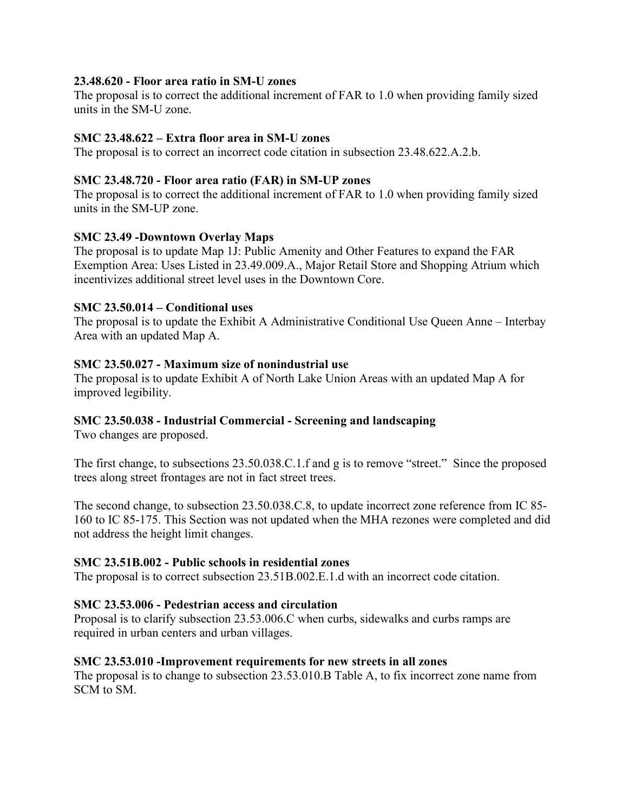## **23.48.620 - Floor area ratio in SM-U zones**

The proposal is to correct the additional increment of FAR to 1.0 when providing family sized units in the SM-U zone.

## **SMC 23.48.622 – Extra floor area in SM-U zones**

The proposal is to correct an incorrect code citation in subsection 23.48.622.A.2.b.

## **SMC 23.48.720 - Floor area ratio (FAR) in SM-UP zones**

The proposal is to correct the additional increment of FAR to 1.0 when providing family sized units in the SM-UP zone.

## **SMC 23.49 -Downtown Overlay Maps**

The proposal is to update Map 1J: Public Amenity and Other Features to expand the FAR Exemption Area: Uses Listed in 23.49.009.A., Major Retail Store and Shopping Atrium which incentivizes additional street level uses in the Downtown Core.

## **SMC 23.50.014 – Conditional uses**

The proposal is to update the Exhibit A Administrative Conditional Use Queen Anne – Interbay Area with an updated Map A.

## **SMC 23.50.027 - Maximum size of nonindustrial use**

The proposal is to update Exhibit A of North Lake Union Areas with an updated Map A for improved legibility.

# **SMC 23.50.038 - Industrial Commercial - Screening and landscaping**

Two changes are proposed.

The first change, to subsections 23.50.038.C.1.f and g is to remove "street." Since the proposed trees along street frontages are not in fact street trees.

The second change, to subsection 23.50.038.C.8, to update incorrect zone reference from IC 85- 160 to IC 85-175. This Section was not updated when the MHA rezones were completed and did not address the height limit changes.

### **SMC 23.51B.002 - Public schools in residential zones**

The proposal is to correct subsection 23.51B.002.E.1.d with an incorrect code citation.

### **SMC 23.53.006 - Pedestrian access and circulation**

Proposal is to clarify subsection 23.53.006.C when curbs, sidewalks and curbs ramps are required in urban centers and urban villages.

### **SMC 23.53.010 -Improvement requirements for new streets in all zones**

The proposal is to change to subsection 23.53.010.B Table A, to fix incorrect zone name from SCM to SM.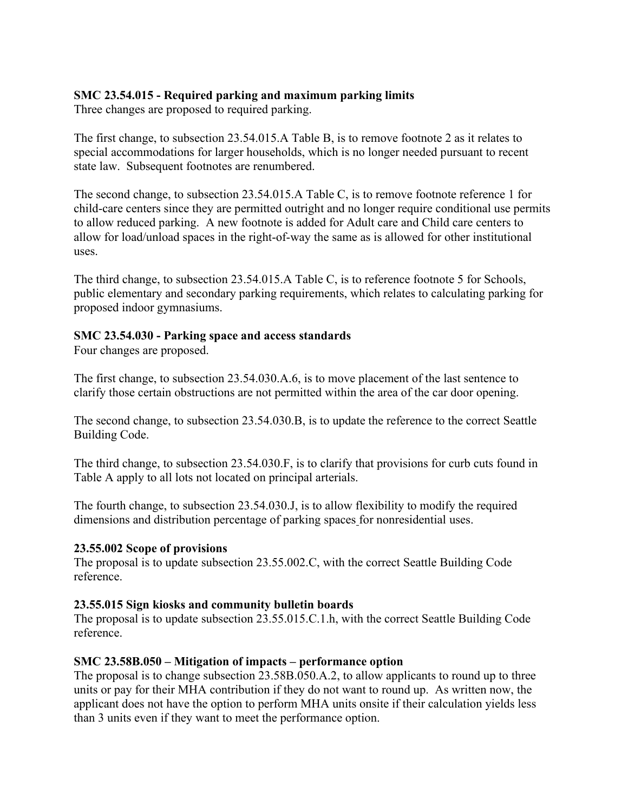# **SMC 23.54.015 - Required parking and maximum parking limits**

Three changes are proposed to required parking.

The first change, to subsection 23.54.015.A Table B, is to remove footnote 2 as it relates to special accommodations for larger households, which is no longer needed pursuant to recent state law. Subsequent footnotes are renumbered.

The second change, to subsection 23.54.015.A Table C, is to remove footnote reference 1 for child-care centers since they are permitted outright and no longer require conditional use permits to allow reduced parking. A new footnote is added for Adult care and Child care centers to allow for load/unload spaces in the right-of-way the same as is allowed for other institutional uses.

The third change, to subsection 23.54.015.A Table C, is to reference footnote 5 for Schools, public elementary and secondary parking requirements, which relates to calculating parking for proposed indoor gymnasiums.

## **SMC 23.54.030 - Parking space and access standards**

Four changes are proposed.

The first change, to subsection 23.54.030.A.6, is to move placement of the last sentence to clarify those certain obstructions are not permitted within the area of the car door opening.

The second change, to subsection 23.54.030.B, is to update the reference to the correct Seattle Building Code.

The third change, to subsection 23.54.030.F, is to clarify that provisions for curb cuts found in Table A apply to all lots not located on principal arterials.

The fourth change, to subsection 23.54.030.J, is to allow flexibility to modify the required dimensions and distribution percentage of parking spaces for nonresidential uses.

### **23.55.002 Scope of provisions**

The proposal is to update subsection 23.55.002.C, with the correct Seattle Building Code reference.

### **23.55.015 Sign kiosks and community bulletin boards**

The proposal is to update subsection 23.55.015.C.1.h, with the correct Seattle Building Code reference.

### **SMC 23.58B.050 – Mitigation of impacts – performance option**

The proposal is to change subsection 23.58B.050.A.2, to allow applicants to round up to three units or pay for their MHA contribution if they do not want to round up. As written now, the applicant does not have the option to perform MHA units onsite if their calculation yields less than 3 units even if they want to meet the performance option.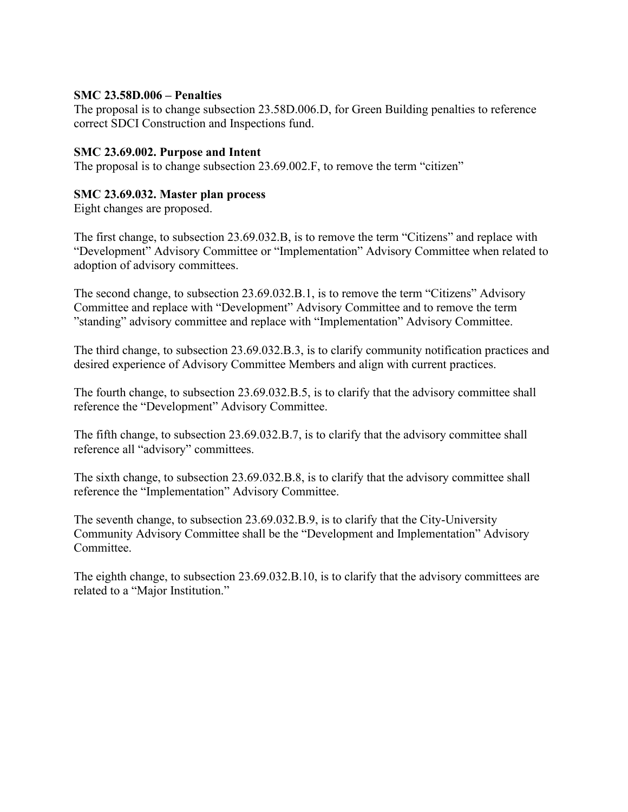### **SMC 23.58D.006 – Penalties**

The proposal is to change subsection 23.58D.006.D, for Green Building penalties to reference correct SDCI Construction and Inspections fund.

### **SMC 23.69.002. Purpose and Intent**

The proposal is to change subsection 23.69.002.F, to remove the term "citizen"

### **SMC 23.69.032. Master plan process**

Eight changes are proposed.

The first change, to subsection 23.69.032.B, is to remove the term "Citizens" and replace with "Development" Advisory Committee or "Implementation" Advisory Committee when related to adoption of advisory committees.

The second change, to subsection 23.69.032.B.1, is to remove the term "Citizens" Advisory Committee and replace with "Development" Advisory Committee and to remove the term "standing" advisory committee and replace with "Implementation" Advisory Committee.

The third change, to subsection 23.69.032.B.3, is to clarify community notification practices and desired experience of Advisory Committee Members and align with current practices.

The fourth change, to subsection 23.69.032.B.5, is to clarify that the advisory committee shall reference the "Development" Advisory Committee.

The fifth change, to subsection 23.69.032.B.7, is to clarify that the advisory committee shall reference all "advisory" committees.

The sixth change, to subsection 23.69.032.B.8, is to clarify that the advisory committee shall reference the "Implementation" Advisory Committee.

The seventh change, to subsection 23.69.032.B.9, is to clarify that the City-University Community Advisory Committee shall be the "Development and Implementation" Advisory Committee.

The eighth change, to subsection 23.69.032.B.10, is to clarify that the advisory committees are related to a "Major Institution."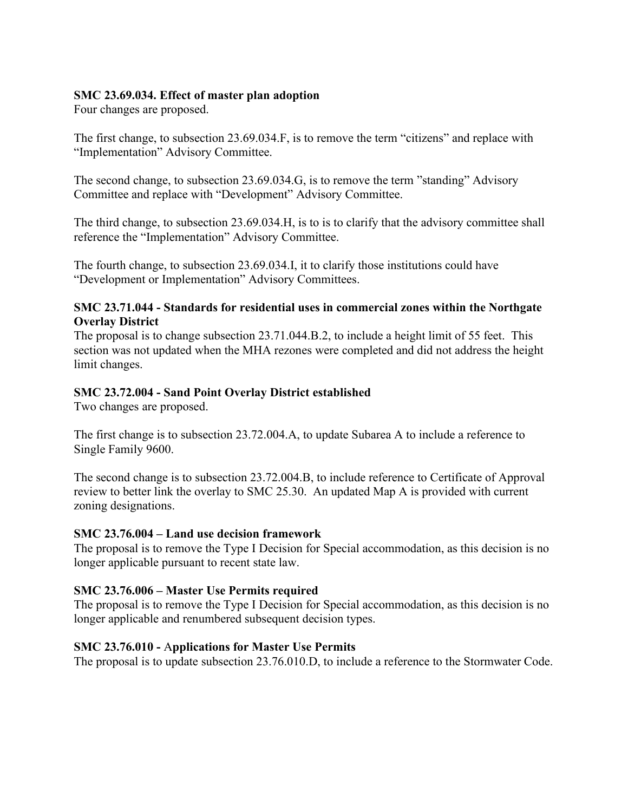## **SMC 23.69.034. Effect of master plan adoption**

Four changes are proposed.

The first change, to subsection 23.69.034.F, is to remove the term "citizens" and replace with "Implementation" Advisory Committee.

The second change, to subsection 23.69.034.G, is to remove the term "standing" Advisory Committee and replace with "Development" Advisory Committee.

The third change, to subsection 23.69.034.H, is to is to clarify that the advisory committee shall reference the "Implementation" Advisory Committee.

The fourth change, to subsection 23.69.034.I, it to clarify those institutions could have "Development or Implementation" Advisory Committees.

## **SMC 23.71.044 - Standards for residential uses in commercial zones within the Northgate Overlay District**

The proposal is to change subsection 23.71.044.B.2, to include a height limit of 55 feet. This section was not updated when the MHA rezones were completed and did not address the height limit changes.

## **SMC 23.72.004 - Sand Point Overlay District established**

Two changes are proposed.

The first change is to subsection 23.72.004.A, to update Subarea A to include a reference to Single Family 9600.

The second change is to subsection 23.72.004.B, to include reference to Certificate of Approval review to better link the overlay to SMC 25.30. An updated Map A is provided with current zoning designations.

### **SMC 23.76.004 – Land use decision framework**

The proposal is to remove the Type I Decision for Special accommodation, as this decision is no longer applicable pursuant to recent state law.

### **SMC 23.76.006 – Master Use Permits required**

The proposal is to remove the Type I Decision for Special accommodation, as this decision is no longer applicable and renumbered subsequent decision types.

### **SMC 23.76.010 -** A**pplications for Master Use Permits**

The proposal is to update subsection 23.76.010.D, to include a reference to the Stormwater Code.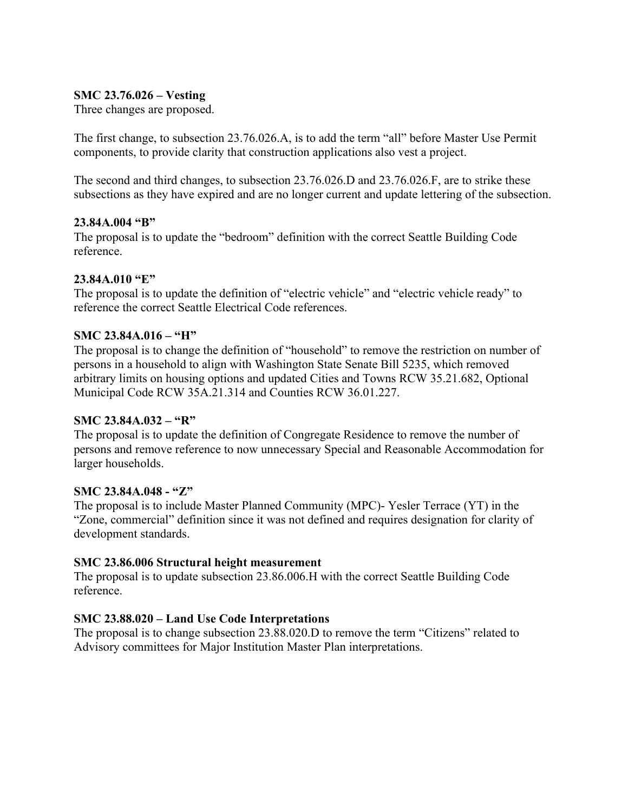## **SMC 23.76.026 – Vesting**

Three changes are proposed.

The first change, to subsection 23.76.026.A, is to add the term "all" before Master Use Permit components, to provide clarity that construction applications also vest a project.

The second and third changes, to subsection 23.76.026.D and 23.76.026.F, are to strike these subsections as they have expired and are no longer current and update lettering of the subsection.

### **23.84A.004 "B"**

The proposal is to update the "bedroom" definition with the correct Seattle Building Code reference.

### **23.84A.010 "E"**

The proposal is to update the definition of "electric vehicle" and "electric vehicle ready" to reference the correct Seattle Electrical Code references.

### **SMC 23.84A.016 – "H"**

The proposal is to change the definition of "household" to remove the restriction on number of persons in a household to align with Washington State Senate Bill 5235, which removed arbitrary limits on housing options and updated Cities and Towns [RCW 35.21.682,](https://app.leg.wa.gov/RCW/default.aspx?cite=35.21.682) Optional Municipal Code [RCW 35A.21.314](https://app.leg.wa.gov/RCW/default.aspx?cite=35A.21.314) and Counties [RCW 36.01.227.](https://app.leg.wa.gov/RCW/default.aspx?cite=36.01.227)

### **SMC 23.84A.032 – "R"**

The proposal is to update the definition of Congregate Residence to remove the number of persons and remove reference to now unnecessary Special and Reasonable Accommodation for larger households.

#### **SMC 23.84A.048 - "Z"**

The proposal is to include Master Planned Community (MPC)- Yesler Terrace (YT) in the "Zone, commercial" definition since it was not defined and requires designation for clarity of development standards.

### **SMC 23.86.006 Structural height measurement**

The proposal is to update subsection 23.86.006.H with the correct Seattle Building Code reference.

### **SMC 23.88.020 – Land Use Code Interpretations**

The proposal is to change subsection 23.88.020.D to remove the term "Citizens" related to Advisory committees for Major Institution Master Plan interpretations.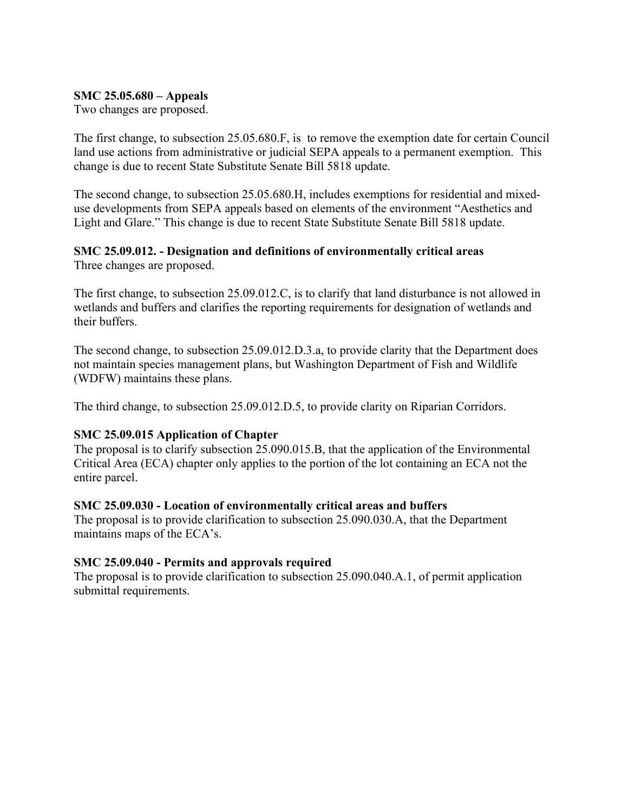### **SMC 25.05.680 – Appeals**

Two changes are proposed.

The first change, to subsection 25.05.680.F, is to remove the exemption date for certain Council land use actions from administrative or judicial SEPA appeals to a permanent exemption. This change is due to recent State Substitute Senate Bill 5818 update.

The second change, to subsection 25.05.680.H, includes exemptions for residential and mixeduse developments from SEPA appeals based on elements of the environment "Aesthetics and Light and Glare." This change is due to recent State Substitute Senate Bill 5818 update.

#### **SMC 25.09.012. - Designation and definitions of environmentally critical areas** Three changes are proposed.

The first change, to subsection 25.09.012.C, is to clarify that land disturbance is not allowed in wetlands and buffers and clarifies the reporting requirements for designation of wetlands and their buffers.

The second change, to subsection 25.09.012.D.3.a, to provide clarity that the Department does not maintain species management plans, but Washington Department of Fish and Wildlife (WDFW) maintains these plans.

The third change, to subsection 25.09.012.D.5, to provide clarity on Riparian Corridors.

### **SMC 25.09.015 Application of Chapter**

The proposal is to clarify subsection 25.090.015.B, that the application of the Environmental Critical Area (ECA) chapter only applies to the portion of the lot containing an ECA not the entire parcel.

### **SMC 25.09.030 - Location of environmentally critical areas and buffers**

The proposal is to provide clarification to subsection 25.090.030.A, that the Department maintains maps of the ECA's.

# **SMC 25.09.040 - Permits and approvals required**

The proposal is to provide clarification to subsection 25.090.040.A.1, of permit application submittal requirements.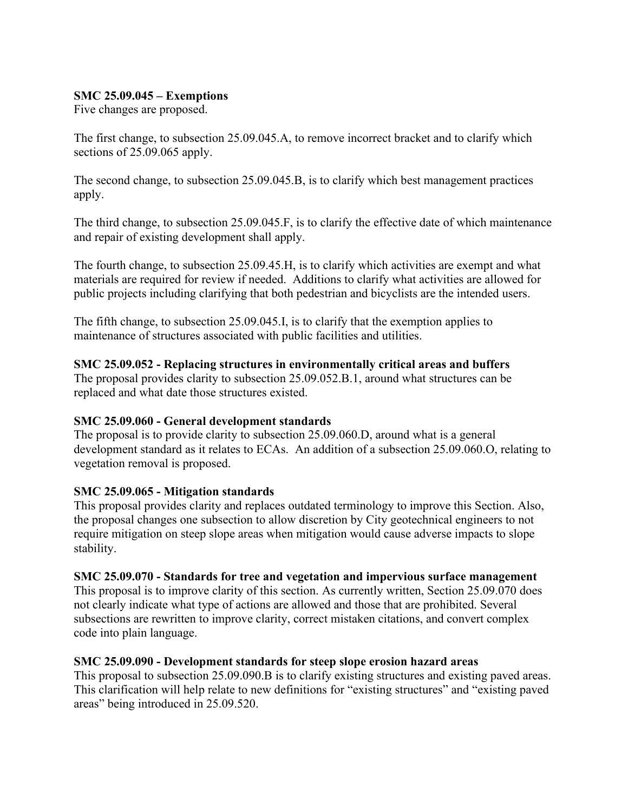## **SMC 25.09.045 – Exemptions**

Five changes are proposed.

The first change, to subsection 25.09.045.A, to remove incorrect bracket and to clarify which sections of 25.09.065 apply.

The second change, to subsection 25.09.045.B, is to clarify which best management practices apply.

The third change, to subsection 25.09.045.F, is to clarify the effective date of which maintenance and repair of existing development shall apply.

The fourth change, to subsection 25.09.45.H, is to clarify which activities are exempt and what materials are required for review if needed. Additions to clarify what activities are allowed for public projects including clarifying that both pedestrian and bicyclists are the intended users.

The fifth change, to subsection 25.09.045.I, is to clarify that the exemption applies to maintenance of structures associated with public facilities and utilities.

## **SMC 25.09.052 - Replacing structures in environmentally critical areas and buffers**

The proposal provides clarity to subsection 25.09.052.B.1, around what structures can be replaced and what date those structures existed.

# **SMC 25.09.060 - General development standards**

The proposal is to provide clarity to subsection 25.09.060.D, around what is a general development standard as it relates to ECAs. An addition of a subsection 25.09.060.O, relating to vegetation removal is proposed.

# **SMC 25.09.065 - Mitigation standards**

This proposal provides clarity and replaces outdated terminology to improve this Section. Also, the proposal changes one subsection to allow discretion by City geotechnical engineers to not require mitigation on steep slope areas when mitigation would cause adverse impacts to slope stability.

### **SMC 25.09.070 - Standards for tree and vegetation and impervious surface management**

This proposal is to improve clarity of this section. As currently written, Section 25.09.070 does not clearly indicate what type of actions are allowed and those that are prohibited. Several subsections are rewritten to improve clarity, correct mistaken citations, and convert complex code into plain language.

# **SMC 25.09.090 - Development standards for steep slope erosion hazard areas**

This proposal to subsection 25.09.090.B is to clarify existing structures and existing paved areas. This clarification will help relate to new definitions for "existing structures" and "existing paved areas" being introduced in 25.09.520.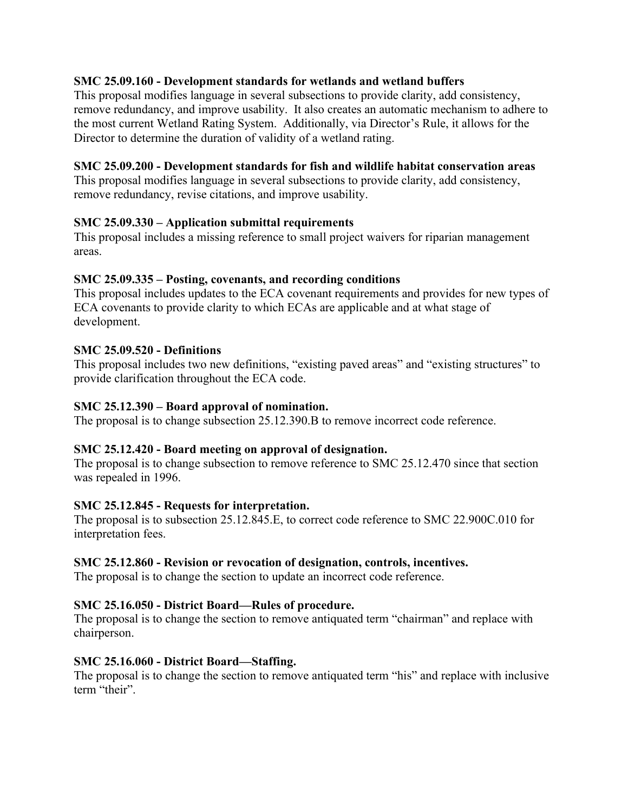## **SMC 25.09.160 - Development standards for wetlands and wetland buffers**

This proposal modifies language in several subsections to provide clarity, add consistency, remove redundancy, and improve usability. It also creates an automatic mechanism to adhere to the most current Wetland Rating System. Additionally, via Director's Rule, it allows for the Director to determine the duration of validity of a wetland rating.

### **SMC 25.09.200 - Development standards for fish and wildlife habitat conservation areas**

This proposal modifies language in several subsections to provide clarity, add consistency, remove redundancy, revise citations, and improve usability.

## **SMC 25.09.330 – Application submittal requirements**

This proposal includes a missing reference to small project waivers for riparian management areas.

## **SMC 25.09.335 – Posting, covenants, and recording conditions**

This proposal includes updates to the ECA covenant requirements and provides for new types of ECA covenants to provide clarity to which ECAs are applicable and at what stage of development.

## **SMC 25.09.520 - Definitions**

This proposal includes two new definitions, "existing paved areas" and "existing structures" to provide clarification throughout the ECA code.

### **SMC 25.12.390 – Board approval of nomination.**

The proposal is to change subsection 25.12.390.B to remove incorrect code reference.

### **SMC 25.12.420 - Board meeting on approval of designation.**

The proposal is to change subsection to remove reference to SMC 25.12.470 since that section was repealed in 1996.

### **SMC 25.12.845 - Requests for interpretation.**

The proposal is to subsection 25.12.845.E, to correct code reference to SMC 22.900C.010 for interpretation fees.

### **SMC 25.12.860 - Revision or revocation of designation, controls, incentives.**

The proposal is to change the section to update an incorrect code reference.

### **SMC 25.16.050 - District Board—Rules of procedure.**

The proposal is to change the section to remove antiquated term "chairman" and replace with chairperson.

### **SMC 25.16.060 - District Board—Staffing.**

The proposal is to change the section to remove antiquated term "his" and replace with inclusive term "their".